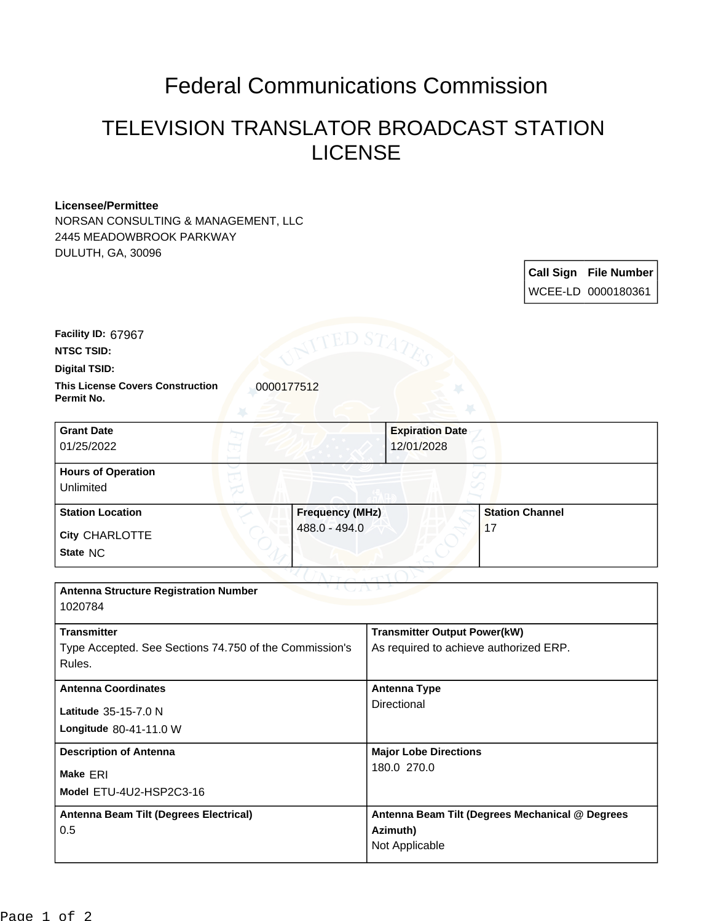## Federal Communications Commission

## TELEVISION TRANSLATOR BROADCAST STATION LICENSE

## **Licensee/Permittee**

NORSAN CONSULTING & MANAGEMENT, LLC 2445 MEADOWBROOK PARKWAY DULUTH, GA, 30096

> **Call Sign File Number** WCEE-LD 0000180361

**Facility ID:** 67967

**NTSC TSID:**

**Digital TSID:**

**This License Covers Construction**  0000177512 **Permit No.**

**State** NC **City** CHARLOTTE **Grant Date** 01/25/2022 **Expiration Date** 12/01/2028 **Hours of Operation** Unlimited **Station Location Frequency (MHz)** 488.0 - 494.0 **Station Channel** 17

| <b>Antenna Structure Registration Number</b>           |                                                 |
|--------------------------------------------------------|-------------------------------------------------|
|                                                        |                                                 |
|                                                        |                                                 |
| <b>Transmitter</b>                                     | <b>Transmitter Output Power(kW)</b>             |
| Type Accepted. See Sections 74.750 of the Commission's | As required to achieve authorized ERP.          |
| Rules.                                                 |                                                 |
|                                                        |                                                 |
| <b>Antenna Coordinates</b>                             | <b>Antenna Type</b>                             |
|                                                        | Directional                                     |
| <b>Latitude</b> $35-15-7.0$ N                          |                                                 |
| Longitude 80-41-11.0 W                                 |                                                 |
| <b>Description of Antenna</b>                          | <b>Major Lobe Directions</b>                    |
|                                                        | 180.0 270.0                                     |
| Make ERI                                               |                                                 |
| Model ETU-4U2-HSP2C3-16                                |                                                 |
|                                                        |                                                 |
| Antenna Beam Tilt (Degrees Electrical)                 | Antenna Beam Tilt (Degrees Mechanical @ Degrees |
| 0.5                                                    | Azimuth)                                        |
|                                                        | Not Applicable                                  |
|                                                        |                                                 |